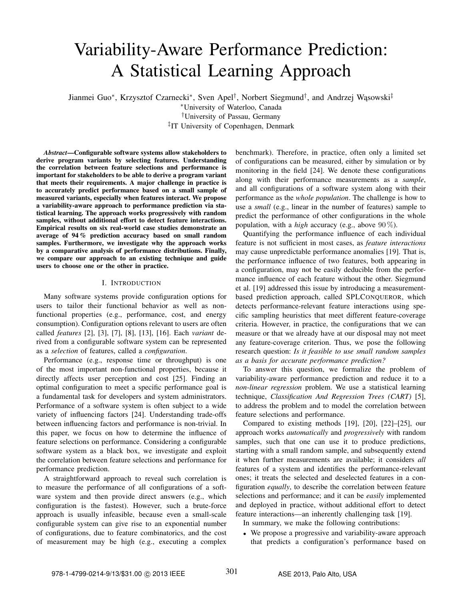# Variability-Aware Performance Prediction: A Statistical Learning Approach

Jianmei Guo\*, Krzysztof Czarnecki\*, Sven Apel<sup>†</sup>, Norbert Siegmund<sup>†</sup>, and Andrzej Wąsowski<sup>‡</sup>

<sup>∗</sup>University of Waterloo, Canada †University of Passau, Germany

‡ IT University of Copenhagen, Denmark

*Abstract*—Configurable software systems allow stakeholders to derive program variants by selecting features. Understanding the correlation between feature selections and performance is important for stakeholders to be able to derive a program variant that meets their requirements. A major challenge in practice is to accurately predict performance based on a small sample of measured variants, especially when features interact. We propose a variability-aware approach to performance prediction via statistical learning. The approach works progressively with random samples, without additional effort to detect feature interactions. Empirical results on six real-world case studies demonstrate an average of 94 % prediction accuracy based on small random samples. Furthermore, we investigate why the approach works by a comparative analysis of performance distributions. Finally, we compare our approach to an existing technique and guide users to choose one or the other in practice.

# I. INTRODUCTION

Many software systems provide configuration options for users to tailor their functional behavior as well as nonfunctional properties (e.g., performance, cost, and energy consumption). Configuration options relevant to users are often called *features* [2], [3], [7], [8], [13], [16]. Each *variant* derived from a configurable software system can be represented as a *selection* of features, called a *configuration*.

Performance (e.g., response time or throughput) is one of the most important non-functional properties, because it directly affects user perception and cost [25]. Finding an optimal configuration to meet a specific performance goal is a fundamental task for developers and system administrators. Performance of a software system is often subject to a wide variety of influencing factors [24]. Understanding trade-offs between influencing factors and performance is non-trivial. In this paper, we focus on how to determine the influence of feature selections on performance. Considering a configurable software system as a black box, we investigate and exploit the correlation between feature selections and performance for performance prediction.

A straightforward approach to reveal such correlation is to measure the performance of all configurations of a software system and then provide direct answers (e.g., which configuration is the fastest). However, such a brute-force approach is usually infeasible, because even a small-scale configurable system can give rise to an exponential number of configurations, due to feature combinatorics, and the cost of measurement may be high (e.g., executing a complex benchmark). Therefore, in practice, often only a limited set of configurations can be measured, either by simulation or by monitoring in the field [24]. We denote these configurations along with their performance measurements as a *sample*, and all configurations of a software system along with their performance as the *whole population*. The challenge is how to use a *small* (e.g., linear in the number of features) sample to predict the performance of other configurations in the whole population, with a *high* accuracy (e.g., above 90 %).

Quantifying the performance influence of each individual feature is not sufficient in most cases, as *feature interactions* may cause unpredictable performance anomalies [19]. That is, the performance influence of two features, both appearing in a configuration, may not be easily deducible from the performance influence of each feature without the other. Siegmund et al. [19] addressed this issue by introducing a measurementbased prediction approach, called SPLCONQUEROR, which detects performance-relevant feature interactions using specific sampling heuristics that meet different feature-coverage criteria. However, in practice, the configurations that we can measure or that we already have at our disposal may not meet any feature-coverage criterion. Thus, we pose the following research question: *Is it feasible to use small random samples as a basis for accurate performance prediction?*

To answer this question, we formalize the problem of variability-aware performance prediction and reduce it to a *non-linear regression* problem. We use a statistical learning technique, *Classification And Regression Trees (CART)* [5], to address the problem and to model the correlation between feature selections and performance.

Compared to existing methods [19], [20], [22]–[25], our approach works *automatically* and *progressively* with random samples, such that one can use it to produce predictions, starting with a small random sample, and subsequently extend it when further measurements are available; it considers *all* features of a system and identifies the performance-relevant ones; it treats the selected and deselected features in a configuration *equally*, to describe the correlation between feature selections and performance; and it can be *easily* implemented and deployed in practice, without additional effort to detect feature interactions—an inherently challenging task [19].

In summary, we make the following contributions:

• We propose a progressive and variability-aware approach that predicts a configuration's performance based on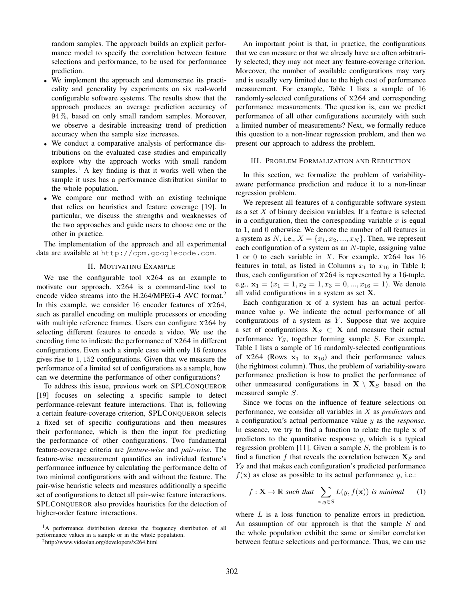random samples. The approach builds an explicit performance model to specify the correlation between feature selections and performance, to be used for performance prediction.

- We implement the approach and demonstrate its practicality and generality by experiments on six real-world configurable software systems. The results show that the approach produces an average prediction accuracy of 94 %, based on only small random samples. Moreover, we observe a desirable increasing trend of prediction accuracy when the sample size increases.
- We conduct a comparative analysis of performance distributions on the evaluated case studies and empirically explore why the approach works with small random samples.<sup>1</sup> A key finding is that it works well when the sample it uses has a performance distribution similar to the whole population.
- We compare our method with an existing technique that relies on heuristics and feature coverage [19]. In particular, we discuss the strengths and weaknesses of the two approaches and guide users to choose one or the other in practice.

The implementation of the approach and all experimental data are available at http://cpm.googlecode.com.

# II. MOTIVATING EXAMPLE

We use the configurable tool  $x264$  as an example to motivate our approach. X264 is a command-line tool to encode video streams into the H.264/MPEG-4 AVC format.<sup>2</sup> In this example, we consider 16 encoder features of X264, such as parallel encoding on multiple processors or encoding with multiple reference frames. Users can configure  $x264$  by selecting different features to encode a video. We use the encoding time to indicate the performance of X264 in different configurations. Even such a simple case with only 16 features gives rise to 1, 152 configurations. Given that we measure the performance of a limited set of configurations as a sample, how can we determine the performance of other configurations?

To address this issue, previous work on SPLCONQUEROR [19] focuses on selecting a specific sample to detect performance-relevant feature interactions. That is, following a certain feature-coverage criterion, SPLCONQUEROR selects a fixed set of specific configurations and then measures their performance, which is then the input for predicting the performance of other configurations. Two fundamental feature-coverage criteria are *feature-wise* and *pair-wise*. The feature-wise measurement quantifies an individual feature's performance influence by calculating the performance delta of two minimal configurations with and without the feature. The pair-wise heuristic selects and measures additionally a specific set of configurations to detect all pair-wise feature interactions. SPLCONQUEROR also provides heuristics for the detection of higher-order feature interactions.

<sup>2</sup>http://www.videolan.org/developers/x264.html

An important point is that, in practice, the configurations that we can measure or that we already have are often arbitrarily selected; they may not meet any feature-coverage criterion. Moreover, the number of available configurations may vary and is usually very limited due to the high cost of performance measurement. For example, Table I lists a sample of 16 randomly-selected configurations of X264 and corresponding performance measurements. The question is, can we predict performance of all other configurations accurately with such a limited number of measurements? Next, we formally reduce this question to a non-linear regression problem, and then we present our approach to address the problem.

#### III. PROBLEM FORMALIZATION AND REDUCTION

In this section, we formalize the problem of variabilityaware performance prediction and reduce it to a non-linear regression problem.

We represent all features of a configurable software system as a set  $X$  of binary decision variables. If a feature is selected in a configuration, then the corresponding variable  $x$  is equal to 1, and 0 otherwise. We denote the number of all features in a system as N, i.e.,  $X = \{x_1, x_2, ..., x_N\}$ . Then, we represent each configuration of a system as an  $N$ -tuple, assigning value 1 or 0 to each variable in  $X$ . For example,  $x264$  has 16 features in total, as listed in Columns  $x_1$  to  $x_{16}$  in Table I; thus, each configuration of X264 is represented by a 16-tuple, e.g.,  $\mathbf{x}_1 = (x_1 = 1, x_2 = 1, x_3 = 0, ..., x_{16} = 1)$ . We denote all valid configurations in a system as set X.

Each configuration x of a system has an actual performance value  $y$ . We indicate the actual performance of all configurations of a system as  $Y$ . Suppose that we acquire a set of configurations  $X_S \subset X$  and measure their actual performance  $Y_S$ , together forming sample  $S$ . For example, Table I lists a sample of 16 randomly-selected configurations of  $x264$  (Rows  $x_1$  to  $x_{16}$ ) and their performance values (the rightmost column). Thus, the problem of variability-aware performance prediction is how to predict the performance of other unmeasured configurations in  $X \setminus X_S$  based on the measured sample S.

Since we focus on the influence of feature selections on performance, we consider all variables in X as *predictors* and a configuration's actual performance value y as the *response*. In essence, we try to find a function to relate the tuple  $x$  of predictors to the quantitative response  $y$ , which is a typical regression problem [11]. Given a sample  $S$ , the problem is to find a function f that reveals the correlation between  $\mathbf{X}_S$  and  $Y<sub>S</sub>$  and that makes each configuration's predicted performance  $f(\mathbf{x})$  as close as possible to its actual performance y, i.e.:

$$
f: \mathbf{X} \to \mathbb{R} \text{ such that } \sum_{\mathbf{x}, y \in S} L(y, f(\mathbf{x})) \text{ is minimal } (1)
$$

where L is a loss function to penalize errors in prediction. An assumption of our approach is that the sample S and the whole population exhibit the same or similar correlation between feature selections and performance. Thus, we can use

<sup>&</sup>lt;sup>1</sup>A performance distribution denotes the frequency distribution of all performance values in a sample or in the whole population.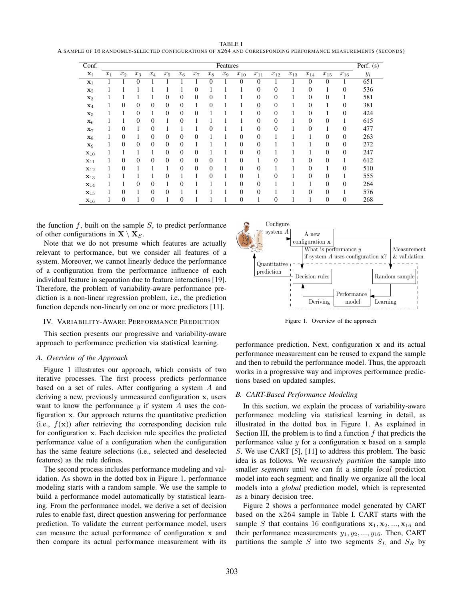| <b>TABLE I</b>                                                                                               |  |
|--------------------------------------------------------------------------------------------------------------|--|
| A SAMPLE OF 16 RANDOMLY-SELECTED CONFIGURATIONS OF X264 AND CORRESPONDING PERFORMANCE MEASUREMENTS (SECONDS) |  |

| Conf.             |       |                |                |                |                |                |                |                | Features |                  |                |                |          |                |                  |                  | Perf. $(s)$ |
|-------------------|-------|----------------|----------------|----------------|----------------|----------------|----------------|----------------|----------|------------------|----------------|----------------|----------|----------------|------------------|------------------|-------------|
| $\mathbf{x}_i$    | $x_1$ | $x_2$          | $x_3$          | $x_4$          | $x_5$          | $x_6$          | $x_7$          | $x_8$          | $x_9$    | $x_{10}$         | $x_{11}$       | $x_{12}$       | $x_{13}$ | $x_{14}$       | $x_{15}$         | $x_{16}$         | $y_i$       |
| $\mathbf{x}_1$    |       |                | 0              |                |                |                |                | $\overline{0}$ |          | 0                | $\overline{0}$ |                |          | 0              | $\overline{0}$   |                  | 651         |
| $\mathbf{x}_2$    |       |                |                |                |                |                | $\Omega$       |                |          |                  | $\theta$       | $\overline{0}$ |          | 0              |                  | $\overline{0}$   | 536         |
| $\mathbf{x}_3$    |       |                |                |                | 0              | $\overline{0}$ | $\Omega$       | $\overline{0}$ |          |                  | $\theta$       | $\overline{0}$ |          | $\overline{0}$ | $\overline{0}$   | 1                | 581         |
| $\mathbf{x}_4$    |       | $\theta$       | $\overline{0}$ | $\overline{0}$ | $\overline{0}$ | $\theta$       |                | $\overline{0}$ |          |                  | $\theta$       | $\overline{0}$ |          | $\overline{0}$ |                  | $\overline{0}$   | 381         |
| $\mathbf{x}_5$    |       |                | $\overline{0}$ | 1              | $\theta$       | $\overline{0}$ | $\overline{0}$ |                |          |                  | $\theta$       | $\overline{0}$ |          | 0              |                  | $\boldsymbol{0}$ | 424         |
| $\mathbf{x}_6$    |       |                | $\overline{0}$ | $\overline{0}$ |                | $\overline{0}$ |                |                |          |                  | $\theta$       | $\overline{0}$ |          | 0              | $\overline{0}$   | 1                | 615         |
| $\mathbf{x}_7$    |       | $\overline{0}$ | 1              | $\overline{0}$ |                |                |                | 0              |          |                  | $\overline{0}$ | $\overline{0}$ |          | 0              | T                | $\overline{0}$   | 477         |
| $\mathbf{x}_8$    |       | $\overline{0}$ | 1              | $\overline{0}$ | 0              | $\overline{0}$ | $\overline{0}$ | ш              |          | 0                | $\theta$       |                |          |                | $\overline{0}$   | $\overline{0}$   | 263         |
| $\mathbf{x}_9$    |       | $\overline{0}$ | $\overline{0}$ | $\overline{0}$ | $\theta$       | $\overline{0}$ |                |                |          | $\boldsymbol{0}$ | $\theta$       |                |          |                | $\theta$         | $\boldsymbol{0}$ | 272         |
| $x_{10}$          |       |                | 1              | 1              | 0              | $\overline{0}$ | $\overline{0}$ |                |          | $\boldsymbol{0}$ | $\theta$       |                |          |                | $\boldsymbol{0}$ | $\boldsymbol{0}$ | 247         |
| $x_{11}$          |       | $\overline{0}$ | $\overline{0}$ | $\overline{0}$ | $\theta$       | $\overline{0}$ | $\theta$       | $\overline{0}$ |          | $\boldsymbol{0}$ |                | $\overline{0}$ |          | 0              | $\theta$         | 1                | 612         |
| $\mathbf{x}_{12}$ |       | $\overline{0}$ | 1              |                |                | $\theta$       | $\Omega$       | $\overline{0}$ | ı.       | $\overline{0}$   | $\theta$       |                |          | 0              |                  | $\overline{0}$   | 510         |
| $x_{13}$          |       | 1              |                |                | $\theta$       | 1              |                | $\overline{0}$ |          | $\overline{0}$   | 1              | $\theta$       |          | $\Omega$       | $\overline{0}$   | 1                | 555         |
| $x_{14}$          |       | 1              | $\overline{0}$ | $\overline{0}$ |                | $\Omega$       |                | 1              |          | $\overline{0}$   | $\theta$       |                |          |                | $\overline{0}$   | $\overline{0}$   | 264         |
| $\mathbf{x}_{15}$ |       | $\overline{0}$ | 1              | $\overline{0}$ | $\theta$       |                |                |                |          | $\overline{0}$   | $\Omega$       |                |          | 0              | $\overline{0}$   | 1                | 576         |
| $x_{16}$          |       | $\overline{0}$ |                | $\overline{0}$ |                | $\overline{0}$ |                |                |          | 0                | ı              | $\overline{0}$ |          |                | $\overline{0}$   | $\boldsymbol{0}$ | 268         |

the function  $f$ , built on the sample  $S$ , to predict performance of other configurations in  $X \setminus X_S$ .

Note that we do not presume which features are actually relevant to performance, but we consider all features of a system. Moreover, we cannot linearly deduce the performance of a configuration from the performance influence of each individual feature in separation due to feature interactions [19]. Therefore, the problem of variability-aware performance prediction is a non-linear regression problem, i.e., the prediction function depends non-linearly on one or more predictors [11].

# IV. VARIABILITY-AWARE PERFORMANCE PREDICTION

This section presents our progressive and variability-aware approach to performance prediction via statistical learning.

# *A. Overview of the Approach*

Figure 1 illustrates our approach, which consists of two iterative processes. The first process predicts performance based on a set of rules. After configuring a system A and deriving a new, previously unmeasured configuration x, users want to know the performance  $y$  if system  $A$  uses the configuration x. Our approach returns the quantitative prediction (i.e.,  $f(\mathbf{x})$ ) after retrieving the corresponding decision rule for configuration x. Each decision rule specifies the predicted performance value of a configuration when the configuration has the same feature selections (i.e., selected and deselected features) as the rule defines.

The second process includes performance modeling and validation. As shown in the dotted box in Figure 1, performance modeling starts with a random sample. We use the sample to build a performance model automatically by statistical learning. From the performance model, we derive a set of decision rules to enable fast, direct question answering for performance prediction. To validate the current performance model, users can measure the actual performance of configuration x and then compare its actual performance measurement with its



Figure 1. Overview of the approach

performance prediction. Next, configuration x and its actual performance measurement can be reused to expand the sample and then to rebuild the performance model. Thus, the approach works in a progressive way and improves performance predictions based on updated samples.

# *B. CART-Based Performance Modeling*

In this section, we explain the process of variability-aware performance modeling via statistical learning in detail, as illustrated in the dotted box in Figure 1. As explained in Section III, the problem is to find a function  $f$  that predicts the performance value  $y$  for a configuration  $x$  based on a sample S. We use CART [5], [11] to address this problem. The basic idea is as follows. We *recursively partition* the sample into smaller *segments* until we can fit a simple *local* prediction model into each segment; and finally we organize all the local models into a *global* prediction model, which is represented as a binary decision tree.

Figure 2 shows a performance model generated by CART based on the X264 sample in Table I. CART starts with the sample S that contains 16 configurations  $x_1, x_2, ..., x_{16}$  and their performance measurements  $y_1, y_2, ..., y_{16}$ . Then, CART partitions the sample  $S$  into two segments  $S_L$  and  $S_R$  by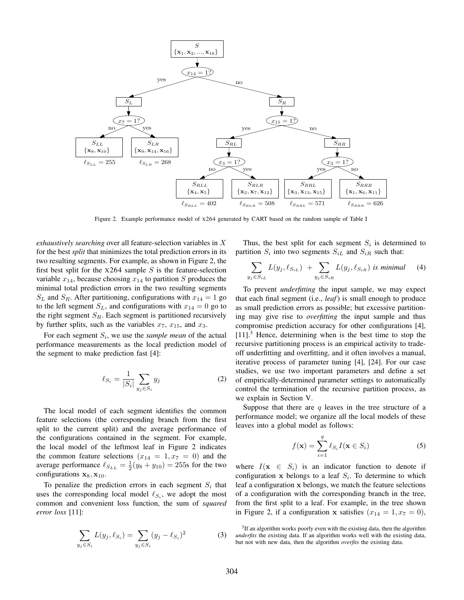

Figure 2. Example performance model of X264 generated by CART based on the random sample of Table I

*exhaustively searching* over all feature-selection variables in X for the best *split* that minimizes the total prediction errors in its two resulting segments. For example, as shown in Figure 2, the first best split for the  $x264$  sample S is the feature-selection variable  $x_{14}$ , because choosing  $x_{14}$  to partition S produces the minimal total prediction errors in the two resulting segments  $S_L$  and  $S_R$ . After partitioning, configurations with  $x_{14} = 1$  go to the left segment  $S_L$ , and configurations with  $x_{14} = 0$  go to the right segment  $S_R$ . Each segment is partitioned recursively by further splits, such as the variables  $x_7$ ,  $x_{15}$ , and  $x_3$ .

For each segment  $S_i$ , we use the *sample mean* of the actual performance measurements as the local prediction model of the segment to make prediction fast [4]:

$$
\ell_{S_i} = \frac{1}{|S_i|} \sum_{y_j \in S_i} y_j \tag{2}
$$

The local model of each segment identifies the common feature selections (the corresponding branch from the first split to the current split) and the average performance of the configurations contained in the segment. For example, the local model of the leftmost leaf in Figure 2 indicates the common feature selections  $(x_{14} = 1, x_7 = 0)$  and the average performance  $\ell_{S_{LL}} = \frac{1}{2}(y_8 + y_{10}) = 255$  for the two configurations  $x_8, x_{10}$ .

To penalize the prediction errors in each segment  $S_i$  that uses the corresponding local model  $\ell_{S_i}$ , we adopt the most common and convenient loss function, the sum of *squared error loss* [11]:

$$
\sum_{y_j \in S_i} L(y_j, \ell_{S_i}) = \sum_{y_j \in S_i} (y_j - \ell_{S_i})^2
$$
 (3)

Thus, the best split for each segment  $S_i$  is determined to partition  $S_i$  into two segments  $S_{iL}$  and  $S_{iR}$  such that:

$$
\sum_{y_j \in S_{iL}} L(y_j, \ell_{S_{iL}}) + \sum_{y_j \in S_{iR}} L(y_j, \ell_{S_{iR}}) \text{ is minimal } (4)
$$

To prevent *underfitting* the input sample, we may expect that each final segment (i.e., *leaf*) is small enough to produce as small prediction errors as possible; but excessive partitioning may give rise to *overfitting* the input sample and thus compromise prediction accuracy for other configurations [4],  $[11]$ <sup>3</sup>. Hence, determining when is the best time to stop the recursive partitioning process is an empirical activity to tradeoff underfitting and overfitting, and it often involves a manual, iterative process of parameter tuning [4], [24]. For our case studies, we use two important parameters and define a set of empirically-determined parameter settings to automatically control the termination of the recursive partition process, as we explain in Section V.

Suppose that there are  $q$  leaves in the tree structure of a performance model; we organize all the local models of these leaves into a global model as follows:

$$
f(\mathbf{x}) = \sum_{i=1}^{q} \ell_{S_i} I(\mathbf{x} \in S_i)
$$
 (5)

where  $I(\mathbf{x} \in S_i)$  is an indicator function to denote if configuration x belongs to a leaf  $S_i$ . To determine to which leaf a configuration x belongs, we match the feature selections of a configuration with the corresponding branch in the tree, from the first split to a leaf. For example, in the tree shown in Figure 2, if a configuration x satisfies  $(x_{14} = 1, x_7 = 0)$ ,

<sup>&</sup>lt;sup>3</sup>If an algorithm works poorly even with the existing data, then the algorithm *underfits* the existing data. If an algorithm works well with the existing data, but not with new data, then the algorithm *overfits* the existing data.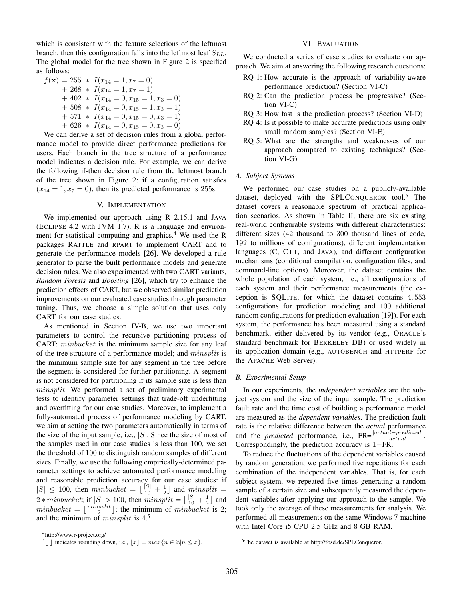which is consistent with the feature selections of the leftmost branch, then this configuration falls into the leftmost leaf  $S_{LL}$ . The global model for the tree shown in Figure 2 is specified as follows:

$$
f(\mathbf{x}) = 255 * I(x_{14} = 1, x_7 = 0)
$$
  
+ 268 \* I(x\_{14} = 1, x\_7 = 1)  
+ 402 \* I(x\_{14} = 0, x\_{15} = 1, x\_3 = 0)  
+ 508 \* I(x\_{14} = 0, x\_{15} = 1, x\_3 = 1)  
+ 571 \* I(x\_{14} = 0, x\_{15} = 0, x\_3 = 1)  
+ 626 \* I(x\_{14} = 0, x\_{15} = 0, x\_3 = 0)

We can derive a set of decision rules from a global performance model to provide direct performance predictions for users. Each branch in the tree structure of a performance model indicates a decision rule. For example, we can derive the following if-then decision rule from the leftmost branch of the tree shown in Figure 2: if a configuration satisfies  $(x_{14} = 1, x_7 = 0)$ , then its predicted performance is 255s.

# V. IMPLEMENTATION

We implemented our approach using R 2.15.1 and JAVA (ECLIPSE 4.2 with JVM 1.7). R is a language and environment for statistical computing and graphics.<sup>4</sup> We used the R packages RATTLE and RPART to implement CART and to generate the performance models [26]. We developed a rule generator to parse the built performance models and generate decision rules. We also experimented with two CART variants, *Random Forests* and *Boosting* [26], which try to enhance the prediction effects of CART, but we observed similar prediction improvements on our evaluated case studies through parameter tuning. Thus, we choose a simple solution that uses only CART for our case studies.

As mentioned in Section IV-B, we use two important parameters to control the recursive partitioning process of CART: minbucket is the minimum sample size for any leaf of the tree structure of a performance model; and minsplit is the minimum sample size for any segment in the tree before the segment is considered for further partitioning. A segment is not considered for partitioning if its sample size is less than minsplit. We performed a set of preliminary experimental tests to identify parameter settings that trade-off underfitting and overfitting for our case studies. Moreover, to implement a fully-automated process of performance modeling by CART, we aim at setting the two parameters automatically in terms of the size of the input sample, i.e.,  $|S|$ . Since the size of most of the samples used in our case studies is less than 100, we set the threshold of 100 to distinguish random samples of different sizes. Finally, we use the following empirically-determined parameter settings to achieve automated performance modeling and reasonable prediction accuracy for our case studies: if  $|S| \leq 100$ , then minbucket  $= \lfloor \frac{|S|}{10} + \frac{1}{2} \rfloor$  and minsplit  $=$  $2 * minbucket$ ; if  $|S| > 100$ , then  $minsplit = \lfloor \frac{|S|}{10} + \frac{1}{2} \rfloor$  and minbucket =  $\lfloor \frac{minsplit}{2} \rfloor$ ; the minimum of minbucket is 2; and the minimum of *minsplit* is  $4<sup>5</sup>$ 

<sup>4</sup>http://www.r-project.org/

#### VI. EVALUATION

We conducted a series of case studies to evaluate our approach. We aim at answering the following research questions:

- RQ 1: How accurate is the approach of variability-aware performance prediction? (Section VI-C)
- RQ 2: Can the prediction process be progressive? (Section VI-C)
- RQ 3: How fast is the prediction process? (Section VI-D)
- RQ 4: Is it possible to make accurate predictions using only small random samples? (Section VI-E)
- RQ 5: What are the strengths and weaknesses of our approach compared to existing techniques? (Section VI-G)

# *A. Subject Systems*

We performed our case studies on a publicly-available dataset, deployed with the SPLCONQUEROR tool.<sup>6</sup> The dataset covers a reasonable spectrum of practical application scenarios. As shown in Table II, there are six existing real-world configurable systems with different characteristics: different sizes (42 thousand to 300 thousand lines of code, 192 to millions of configurations), different implementation languages (C, C++, and JAVA), and different configuration mechanisms (conditional compilation, configuration files, and command-line options). Moreover, the dataset contains the whole population of each system, i.e., all configurations of each system and their performance measurements (the exception is SQLITE, for which the dataset contains 4, 553 configurations for prediction modeling and 100 additional random configurations for prediction evaluation [19]). For each system, the performance has been measured using a standard benchmark, either delivered by its vendor (e.g., ORACLE's standard benchmark for BERKELEY DB) or used widely in its application domain (e.g., AUTOBENCH and HTTPERF for the APACHE Web Server).

#### *B. Experimental Setup*

In our experiments, the *independent variables* are the subject system and the size of the input sample. The prediction fault rate and the time cost of building a performance model are measured as the *dependent variables*. The prediction fault rate is the relative difference between the *actual* performance and the *predicted* performance, i.e.,  $\text{FR} = \frac{|actual-predicted|}{actual}$ . Correspondingly, the prediction accuracy is 1−FR.

To reduce the fluctuations of the dependent variables caused by random generation, we performed five repetitions for each combination of the independent variables. That is, for each subject system, we repeated five times generating a random sample of a certain size and subsequently measured the dependent variables after applying our approach to the sample. We took only the average of these measurements for analysis. We performed all measurements on the same Windows 7 machine with Intel Core i5 CPU 2.5 GHz and 8 GB RAM.

<sup>&</sup>lt;sup>5</sup>| | indicates rounding down, i.e.,  $|x| = max\{n \in \mathbb{Z}|n \leq x\}.$ 

<sup>6</sup>The dataset is available at http://fosd.de/SPLConqueror.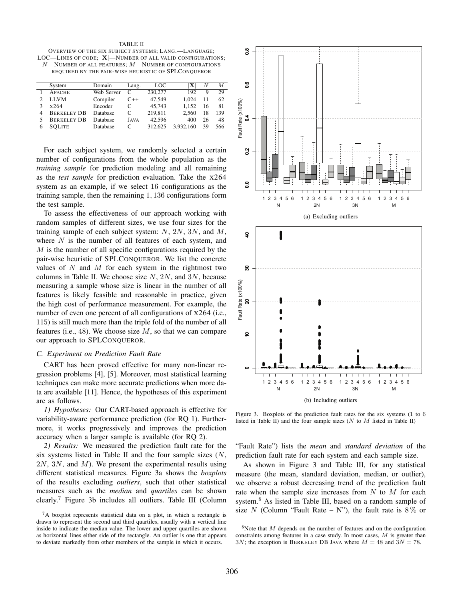TABLE II OVERVIEW OF THE SIX SUBJECT SYSTEMS; LANG.—LANGUAGE; LOC—LINES OF CODE;  $|X|$ —NUMBER OF ALL VALID CONFIGURATIONS;  $N$ —NUMBER OF ALL FEATURES:  $M$ —NUMBER OF CONFIGURATIONS REQUIRED BY THE PAIR-WISE HEURISTIC OF SPLCONQUEROR

| System             | Domain     | Lang. | LOC     | x         | N  | М   |
|--------------------|------------|-------|---------|-----------|----|-----|
| <b>APACHE</b>      | Web Server | C     | 230,277 | 192       | 9  | 29  |
| LLVM               | Compiler   | $C++$ | 47.549  | 1.024     | 11 | 62  |
| x264               | Encoder    |       | 45.743  | 1.152     | 16 | 81  |
| <b>BERKELEY DB</b> | Database   | C     | 219,811 | 2.560     | 18 | 139 |
| <b>BERKELEY DB</b> | Database   | JAVA  | 42.596  | 400       | 26 | 48  |
| <b>SOLITE</b>      | Database   | C     | 312.625 | 3.932.160 | 39 | 566 |

For each subject system, we randomly selected a certain number of configurations from the whole population as the *training sample* for prediction modeling and all remaining as the *test sample* for prediction evaluation. Take the X264 system as an example, if we select 16 configurations as the training sample, then the remaining 1, 136 configurations form the test sample.

To assess the effectiveness of our approach working with random samples of different sizes, we use four sizes for the training sample of each subject system:  $N$ ,  $2N$ ,  $3N$ , and  $M$ , where  $N$  is the number of all features of each system, and  $M$  is the number of all specific configurations required by the pair-wise heuristic of SPLCONQUEROR. We list the concrete values of  $N$  and  $M$  for each system in the rightmost two columns in Table II. We choose size  $N$ ,  $2N$ , and  $3N$ , because measuring a sample whose size is linear in the number of all features is likely feasible and reasonable in practice, given the high cost of performance measurement. For example, the number of even one percent of all configurations of  $x264$  (i.e., 115) is still much more than the triple fold of the number of all features (i.e., 48). We choose size  $M$ , so that we can compare our approach to SPLCONQUEROR.

# *C. Experiment on Prediction Fault Rate*

CART has been proved effective for many non-linear regression problems [4], [5]. Moreover, most statistical learning techniques can make more accurate predictions when more data are available [11]. Hence, the hypotheses of this experiment are as follows.

*1) Hypotheses:* Our CART-based approach is effective for variability-aware performance prediction (for RQ 1). Furthermore, it works progressively and improves the prediction accuracy when a larger sample is available (for RQ 2).

*2) Results:* We measured the prediction fault rate for the six systems listed in Table II and the four sample sizes  $(N,$  $2N$ ,  $3N$ , and  $M$ ). We present the experimental results using different statistical measures. Figure 3a shows the *boxplots* of the results excluding *outliers*, such that other statistical measures such as the *median* and *quartiles* can be shown clearly.<sup>7</sup> Figure 3b includes all outliers. Table III (Column



Figure 3. Boxplots of the prediction fault rates for the six systems (1 to 6 listed in Table II) and the four sample sizes ( $N$  to  $M$  listed in Table II)

"Fault Rate") lists the *mean* and *standard deviation* of the prediction fault rate for each system and each sample size.

As shown in Figure 3 and Table III, for any statistical measure (the mean, standard deviation, median, or outlier), we observe a robust decreasing trend of the prediction fault rate when the sample size increases from  $N$  to  $M$  for each system.<sup>8</sup> As listed in Table III, based on a random sample of size N (Column "Fault Rate – N"), the fault rate is  $8\%$  or

<sup>7</sup>A boxplot represents statistical data on a plot, in which a rectangle is drawn to represent the second and third quartiles, usually with a vertical line inside to indicate the median value. The lower and upper quartiles are shown as horizontal lines either side of the rectangle. An outlier is one that appears to deviate markedly from other members of the sample in which it occurs.

 $8$ Note that  $M$  depends on the number of features and on the configuration constraints among features in a case study. In most cases, M is greater than  $3N$ ; the exception is BERKELEY DB JAVA where  $M = 48$  and  $3N = 78$ .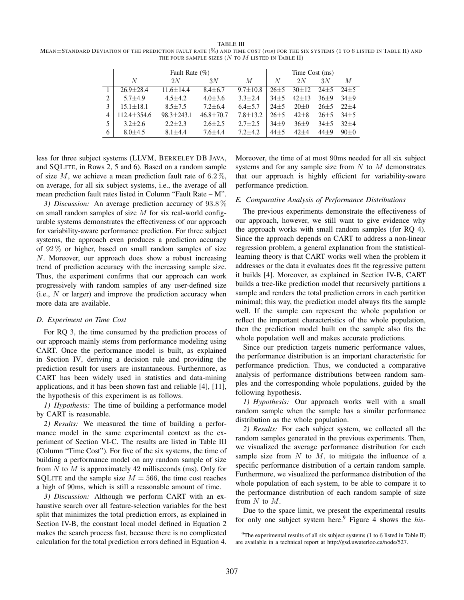TABLE III MEAN $\pm$ STANDARD DEVIATION OF THE PREDICTION FAULT RATE (%) AND TIME COST  $(ms)$  FOR THE SIX SYSTEMS (1 TO 6 LISTED IN TABLE II) AND THE FOUR SAMPLE SIZES ( $N$  to  $M$  listed in Table II)

|                |                 | Fault Rate $(\%)$ | Time Cost (ms) |              |          |           |          |          |
|----------------|-----------------|-------------------|----------------|--------------|----------|-----------|----------|----------|
|                | N               | 2N                | 3N             | М            | N        | 2N        | 3N       | М        |
|                | $26.9 \pm 28.4$ | $11.6 + 14.4$     | $8.4 + 6.7$    | $9.7 + 10.8$ | $26+5$   | $30+12$   | $24 + 5$ | $24+5$   |
| $\overline{c}$ | $5.7 + 4.9$     | $4.5 + 4.2$       | $4.0 + 3.6$    | $3.3 + 2.4$  | $34 + 5$ | $42 + 13$ | $36+9$   | $34+9$   |
| 3              | $15.1 + 18.1$   | $8.5 + 7.5$       | $7.2 + 6.4$    | $6.4 + 5.7$  | $24 + 5$ | $20+0$    | $26 + 5$ | $22+4$   |
|                | $112.4 + 354.6$ | $98.3 + 243.1$    | $46.8 + 70.7$  | $7.8 + 13.2$ | $26 + 5$ | $42 + 8$  | $26 + 5$ | $34 + 5$ |
|                | $3.2 + 2.6$     | $2.2 + 2.3$       | $2.6 \pm 2.5$  | $2.7 + 2.5$  | $34+9$   | $36+9$    | $34 + 5$ | $32+4$   |
| 6              | $8.0 + 4.5$     | $8.1 + 4.4$       | $7.6 + 4.4$    | $7.2 + 4.2$  | $44 + 5$ | $42+4$    | $44 + 9$ | $90+0$   |

less for three subject systems (LLVM, BERKELEY DB JAVA, and SQLITE, in Rows 2, 5 and 6). Based on a random sample of size M, we achieve a mean prediction fault rate of  $6.2\%$ , on average, for all six subject systems, i.e., the average of all mean prediction fault rates listed in Column "Fault Rate – M".

*3) Discussion:* An average prediction accuracy of 93.8 % on small random samples of size  $M$  for six real-world configurable systems demonstrates the effectiveness of our approach for variability-aware performance prediction. For three subject systems, the approach even produces a prediction accuracy of  $92\%$  or higher, based on small random samples of size N. Moreover, our approach does show a robust increasing trend of prediction accuracy with the increasing sample size. Thus, the experiment confirms that our approach can work progressively with random samples of any user-defined size (i.e.,  $N$  or larger) and improve the prediction accuracy when more data are available.

# *D. Experiment on Time Cost*

For RQ 3, the time consumed by the prediction process of our approach mainly stems from performance modeling using CART. Once the performance model is built, as explained in Section IV, deriving a decision rule and providing the prediction result for users are instantaneous. Furthermore, as CART has been widely used in statistics and data-mining applications, and it has been shown fast and reliable [4], [11], the hypothesis of this experiment is as follows.

*1) Hypothesis:* The time of building a performance model by CART is reasonable.

*2) Results:* We measured the time of building a performance model in the same experimental context as the experiment of Section VI-C. The results are listed in Table III (Column "Time Cost"). For five of the six systems, the time of building a performance model on any random sample of size from  $N$  to  $M$  is approximately 42 milliseconds (ms). Only for SQLITE and the sample size  $M = 566$ , the time cost reaches a high of 90ms, which is still a reasonable amount of time.

*3) Discussion:* Although we perform CART with an exhaustive search over all feature-selection variables for the best split that minimizes the total prediction errors, as explained in Section IV-B, the constant local model defined in Equation 2 makes the search process fast, because there is no complicated calculation for the total prediction errors defined in Equation 4.

Moreover, the time of at most 90ms needed for all six subject systems and for any sample size from  $N$  to  $M$  demonstrates that our approach is highly efficient for variability-aware performance prediction.

# *E. Comparative Analysis of Performance Distributions*

The previous experiments demonstrate the effectiveness of our approach, however, we still want to give evidence why the approach works with small random samples (for RQ 4). Since the approach depends on CART to address a non-linear regression problem, a general explanation from the statisticallearning theory is that CART works well when the problem it addresses or the data it evaluates does fit the regressive pattern it builds [4]. Moreover, as explained in Section IV-B, CART builds a tree-like prediction model that recursively partitions a sample and renders the total prediction errors in each partition minimal; this way, the prediction model always fits the sample well. If the sample can represent the whole population or reflect the important characteristics of the whole population, then the prediction model built on the sample also fits the whole population well and makes accurate predictions.

Since our prediction targets numeric performance values, the performance distribution is an important characteristic for performance prediction. Thus, we conducted a comparative analysis of performance distributions between random samples and the corresponding whole populations, guided by the following hypothesis.

*1) Hypothesis:* Our approach works well with a small random sample when the sample has a similar performance distribution as the whole population.

*2) Results:* For each subject system, we collected all the random samples generated in the previous experiments. Then, we visualized the average performance distribution for each sample size from  $N$  to  $M$ , to mitigate the influence of a specific performance distribution of a certain random sample. Furthermore, we visualized the performance distribution of the whole population of each system, to be able to compare it to the performance distribution of each random sample of size from N to M.

Due to the space limit, we present the experimental results for only one subject system here.<sup>9</sup> Figure 4 shows the *his-*

<sup>9</sup>The experimental results of all six subject systems (1 to 6 listed in Table II) are available in a technical report at http://gsd.uwaterloo.ca/node/527.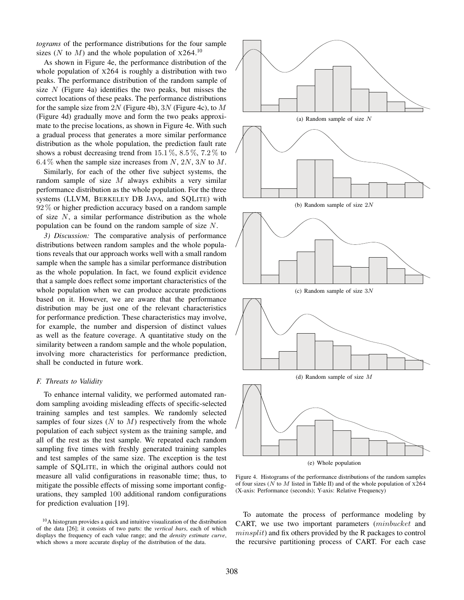*tograms* of the performance distributions for the four sample sizes (N to M) and the whole population of  $X264<sup>10</sup>$ 

As shown in Figure 4e, the performance distribution of the whole population of X264 is roughly a distribution with two peaks. The performance distribution of the random sample of size  $N$  (Figure 4a) identifies the two peaks, but misses the correct locations of these peaks. The performance distributions for the sample size from 2N (Figure 4b), 3N (Figure 4c), to  $M$ (Figure 4d) gradually move and form the two peaks approximate to the precise locations, as shown in Figure 4e. With such a gradual process that generates a more similar performance distribution as the whole population, the prediction fault rate shows a robust decreasing trend from  $15.1\%$ ,  $8.5\%$ ,  $7.2\%$  to 6.4 % when the sample size increases from N, 2N, 3N to M.

Similarly, for each of the other five subject systems, the random sample of size M always exhibits a very similar performance distribution as the whole population. For the three systems (LLVM, BERKELEY DB JAVA, and SQLITE) with 92 % or higher prediction accuracy based on a random sample of size  $N$ , a similar performance distribution as the whole population can be found on the random sample of size N.

*3) Discussion:* The comparative analysis of performance distributions between random samples and the whole populations reveals that our approach works well with a small random sample when the sample has a similar performance distribution as the whole population. In fact, we found explicit evidence that a sample does reflect some important characteristics of the whole population when we can produce accurate predictions based on it. However, we are aware that the performance distribution may be just one of the relevant characteristics for performance prediction. These characteristics may involve, for example, the number and dispersion of distinct values as well as the feature coverage. A quantitative study on the similarity between a random sample and the whole population, involving more characteristics for performance prediction, shall be conducted in future work.

#### *F. Threats to Validity*

To enhance internal validity, we performed automated random sampling avoiding misleading effects of specific-selected training samples and test samples. We randomly selected samples of four sizes  $(N$  to  $M)$  respectively from the whole population of each subject system as the training sample, and all of the rest as the test sample. We repeated each random sampling five times with freshly generated training samples and test samples of the same size. The exception is the test sample of SQLITE, in which the original authors could not measure all valid configurations in reasonable time; thus, to mitigate the possible effects of missing some important configurations, they sampled 100 additional random configurations for prediction evaluation [19].



Figure 4. Histograms of the performance distributions of the random samples of four sizes ( $N$  to  $M$  listed in Table II) and of the whole population of  $x264$ (X-axis: Performance (seconds); Y-axis: Relative Frequency)

To automate the process of performance modeling by CART, we use two important parameters (minbucket and minsplit) and fix others provided by the R packages to control the recursive partitioning process of CART. For each case

<sup>10</sup>A histogram provides a quick and intuitive visualization of the distribution of the data [26]; it consists of two parts: the *vertical bars*, each of which displays the frequency of each value range; and the *density estimate curve*, which shows a more accurate display of the distribution of the data.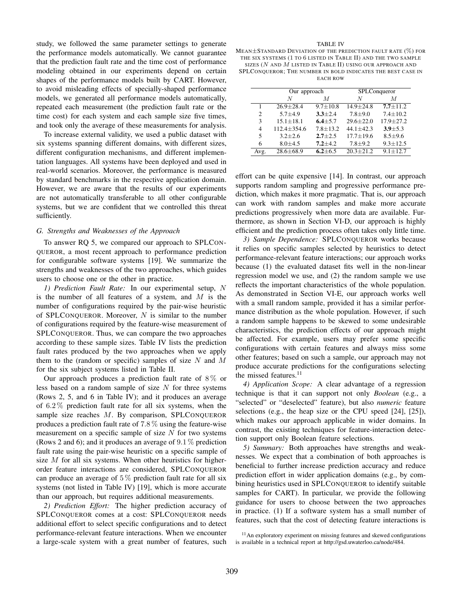study, we followed the same parameter settings to generate the performance models automatically. We cannot guarantee that the prediction fault rate and the time cost of performance modeling obtained in our experiments depend on certain shapes of the performance models built by CART. However, to avoid misleading effects of specially-shaped performance models, we generated all performance models automatically, repeated each measurement (the prediction fault rate or the time cost) for each system and each sample size five times, and took only the average of these measurements for analysis.

To increase external validity, we used a public dataset with six systems spanning different domains, with different sizes, different configuration mechanisms, and different implementation languages. All systems have been deployed and used in real-world scenarios. Moreover, the performance is measured by standard benchmarks in the respective application domain. However, we are aware that the results of our experiments are not automatically transferable to all other configurable systems, but we are confident that we controlled this threat sufficiently.

## *G. Strengths and Weaknesses of the Approach*

To answer RQ 5, we compared our approach to SPLCON-QUEROR, a most recent approach to performance prediction for configurable software systems [19]. We summarize the strengths and weaknesses of the two approaches, which guides users to choose one or the other in practice.

*1) Prediction Fault Rate:* In our experimental setup, N is the number of all features of a system, and  $M$  is the number of configurations required by the pair-wise heuristic of SPLCONQUEROR. Moreover,  $N$  is similar to the number of configurations required by the feature-wise measurement of SPLCONQUEROR. Thus, we can compare the two approaches according to these sample sizes. Table IV lists the prediction fault rates produced by the two approaches when we apply them to the (random or specific) samples of size  $N$  and  $M$ for the six subject systems listed in Table II.

Our approach produces a prediction fault rate of  $8\%$  or less based on a random sample of size  $N$  for three systems (Rows 2, 5, and 6 in Table IV); and it produces an average of  $6.2\%$  prediction fault rate for all six systems, when the sample size reaches M. By comparison, SPLCONQUEROR produces a prediction fault rate of 7.8 % using the feature-wise measurement on a specific sample of size  $N$  for two systems (Rows 2 and 6); and it produces an average of  $9.1\%$  prediction fault rate using the pair-wise heuristic on a specific sample of size  $M$  for all six systems. When other heuristics for higherorder feature interactions are considered, SPLCONQUEROR can produce an average of  $5\%$  prediction fault rate for all six systems (not listed in Table IV) [19], which is more accurate than our approach, but requires additional measurements.

*2) Prediction Effort:* The higher prediction accuracy of SPLCONQUEROR comes at a cost: SPLCONQUEROR needs additional effort to select specific configurations and to detect performance-relevant feature interactions. When we encounter a large-scale system with a great number of features, such

#### TABLE IV

MEAN±STANDARD DEVIATION OF THE PREDICTION FAULT RATE (%) FOR THE SIX SYSTEMS (1 TO 6 LISTED IN TABLE II) AND THE TWO SAMPLE SIZES (N AND M LISTED IN TABLE II) USING OUR APPROACH AND SPLCONQUEROR; THE NUMBER IN BOLD INDICATES THE BEST CASE IN EACH ROW

|                | Our approach      |                | SPLConqueror    |                 |  |  |
|----------------|-------------------|----------------|-----------------|-----------------|--|--|
|                | N                 | M              | N               | M               |  |  |
|                | $26.9 \pm 28.4$   | $9.7 + 10.8$   | $14.9 + 24.8$   | $7.7 + 11.2$    |  |  |
| $\mathfrak{D}$ | $5.7 + 4.9$       | $3.3 \pm 2.4$  | $7.8 + 9.0$     | $7.4 \pm 10.2$  |  |  |
| 3              | $15.1 \pm 18.1$   | $6.4 + 5.7$    | $29.6 \pm 22.0$ | $17.9 \pm 27.2$ |  |  |
| 4              | $112.4 \pm 354.6$ | $7.8 \pm 13.2$ | $44.1 + 42.3$   | $3.9 + 5.3$     |  |  |
| 5              | $3.2 + 2.6$       | $2.7 + 2.5$    | $17.7 \pm 19.6$ | $8.5 + 9.6$     |  |  |
| 6              | $8.0 + 4.5$       | $7.2 + 4.2$    | $7.8 + 9.2$     | $9.3 \pm 12.5$  |  |  |
| Avg.           | $28.6 \pm 68.9$   | $6.2 + 6.5$    | $20.3 + 21.2$   | $9.1 + 12.7$    |  |  |

effort can be quite expensive [14]. In contrast, our approach supports random sampling and progressive performance prediction, which makes it more pragmatic. That is, our approach can work with random samples and make more accurate predictions progressively when more data are available. Furthermore, as shown in Section VI-D, our approach is highly efficient and the prediction process often takes only little time.

*3) Sample Dependence:* SPLCONQUEROR works because it relies on specific samples selected by heuristics to detect performance-relevant feature interactions; our approach works because (1) the evaluated dataset fits well in the non-linear regression model we use, and (2) the random sample we use reflects the important characteristics of the whole population. As demonstrated in Section VI-E, our approach works well with a small random sample, provided it has a similar performance distribution as the whole population. However, if such a random sample happens to be skewed to some undesirable characteristics, the prediction effects of our approach might be affected. For example, users may prefer some specific configurations with certain features and always miss some other features; based on such a sample, our approach may not produce accurate predictions for the configurations selecting the missed features.<sup>11</sup>

*4) Application Scope:* A clear advantage of a regression technique is that it can support not only *Boolean* (e.g., a "selected" or "deselected" feature), but also *numeric* feature selections (e.g., the heap size or the CPU speed [24], [25]), which makes our approach applicable in wider domains. In contrast, the existing techniques for feature-interaction detection support only Boolean feature selections.

*5) Summary:* Both approaches have strengths and weaknesses. We expect that a combination of both approaches is beneficial to further increase prediction accuracy and reduce prediction effort in wider application domains (e.g., by combining heuristics used in SPLCONQUEROR to identify suitable samples for CART). In particular, we provide the following guidance for users to choose between the two approaches in practice. (1) If a software system has a small number of features, such that the cost of detecting feature interactions is

<sup>&</sup>lt;sup>11</sup> An exploratory experiment on missing features and skewed configurations is available in a technical report at http://gsd.uwaterloo.ca/node/484.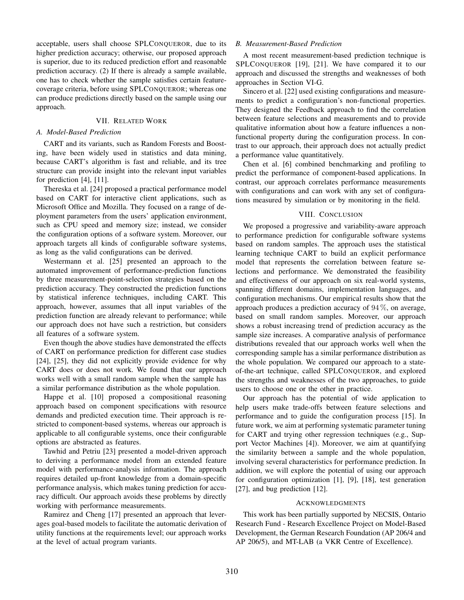acceptable, users shall choose SPLCONQUEROR, due to its higher prediction accuracy; otherwise, our proposed approach is superior, due to its reduced prediction effort and reasonable prediction accuracy. (2) If there is already a sample available, one has to check whether the sample satisfies certain featurecoverage criteria, before using SPLCONQUEROR; whereas one can produce predictions directly based on the sample using our approach.

# VII. RELATED WORK

# *A. Model-Based Prediction*

CART and its variants, such as Random Forests and Boosting, have been widely used in statistics and data mining, because CART's algorithm is fast and reliable, and its tree structure can provide insight into the relevant input variables for prediction [4], [11].

Thereska et al. [24] proposed a practical performance model based on CART for interactive client applications, such as Microsoft Office and Mozilla. They focused on a range of deployment parameters from the users' application environment, such as CPU speed and memory size; instead, we consider the configuration options of a software system. Moreover, our approach targets all kinds of configurable software systems, as long as the valid configurations can be derived.

Westermann et al. [25] presented an approach to the automated improvement of performance-prediction functions by three measurement-point-selection strategies based on the prediction accuracy. They constructed the prediction functions by statistical inference techniques, including CART. This approach, however, assumes that all input variables of the prediction function are already relevant to performance; while our approach does not have such a restriction, but considers all features of a software system.

Even though the above studies have demonstrated the effects of CART on performance prediction for different case studies [24], [25], they did not explicitly provide evidence for why CART does or does not work. We found that our approach works well with a small random sample when the sample has a similar performance distribution as the whole population.

Happe et al. [10] proposed a compositional reasoning approach based on component specifications with resource demands and predicted execution time. Their approach is restricted to component-based systems, whereas our approach is applicable to all configurable systems, once their configurable options are abstracted as features.

Tawhid and Petriu [23] presented a model-driven approach to deriving a performance model from an extended feature model with performance-analysis information. The approach requires detailed up-front knowledge from a domain-specific performance analysis, which makes tuning prediction for accuracy difficult. Our approach avoids these problems by directly working with performance measurements.

Ramirez and Cheng [17] presented an approach that leverages goal-based models to facilitate the automatic derivation of utility functions at the requirements level; our approach works at the level of actual program variants.

## *B. Measurement-Based Prediction*

A most recent measurement-based prediction technique is SPLCONQUEROR [19], [21]. We have compared it to our approach and discussed the strengths and weaknesses of both approaches in Section VI-G.

Sincero et al. [22] used existing configurations and measurements to predict a configuration's non-functional properties. They designed the Feedback approach to find the correlation between feature selections and measurements and to provide qualitative information about how a feature influences a nonfunctional property during the configuration process. In contrast to our approach, their approach does not actually predict a performance value quantitatively.

Chen et al. [6] combined benchmarking and profiling to predict the performance of component-based applications. In contrast, our approach correlates performance measurements with configurations and can work with any set of configurations measured by simulation or by monitoring in the field.

# VIII. CONCLUSION

We proposed a progressive and variability-aware approach to performance prediction for configurable software systems based on random samples. The approach uses the statistical learning technique CART to build an explicit performance model that represents the correlation between feature selections and performance. We demonstrated the feasibility and effectiveness of our approach on six real-world systems, spanning different domains, implementation languages, and configuration mechanisms. Our empirical results show that the approach produces a prediction accuracy of 94 %, on average, based on small random samples. Moreover, our approach shows a robust increasing trend of prediction accuracy as the sample size increases. A comparative analysis of performance distributions revealed that our approach works well when the corresponding sample has a similar performance distribution as the whole population. We compared our approach to a stateof-the-art technique, called SPLCONQUEROR, and explored the strengths and weaknesses of the two approaches, to guide users to choose one or the other in practice.

Our approach has the potential of wide application to help users make trade-offs between feature selections and performance and to guide the configuration process [15]. In future work, we aim at performing systematic parameter tuning for CART and trying other regression techniques (e.g., Support Vector Machines [4]). Moreover, we aim at quantifying the similarity between a sample and the whole population, involving several characteristics for performance prediction. In addition, we will explore the potential of using our approach for configuration optimization [1], [9], [18], test generation [27], and bug prediction [12].

# ACKNOWLEDGMENTS

This work has been partially supported by NECSIS, Ontario Research Fund - Research Excellence Project on Model-Based Development, the German Research Foundation (AP 206/4 and AP 206/5), and MT-LAB (a VKR Centre of Excellence).